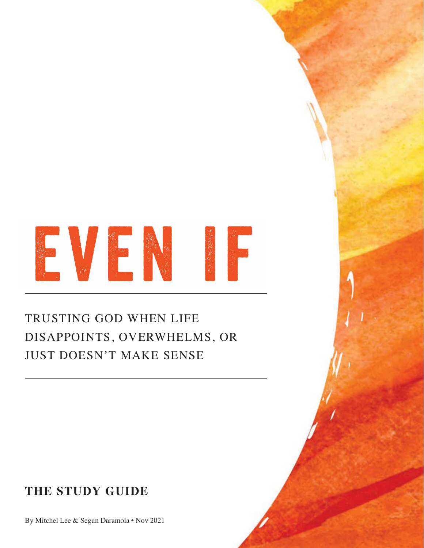

## TRUSTING GOD WHEN LIFE DISAPPOINTS, OVERWHELMS, OR JUST DOESN'T MAKE SENSE

## **THE STUDY GUIDE**

By Mitchel Lee & Segun Daramola • Nov 2021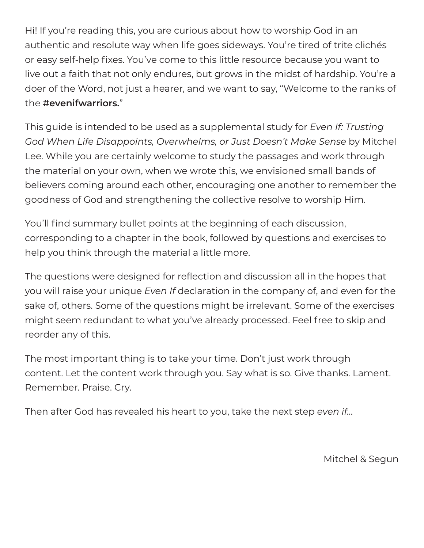Hi! If you're reading this, you are curious about how to worship God in an authentic and resolute way when life goes sideways. You're tired of trite clichés or easy self-help fixes. You've come to this little resource because you want to live out a faith that not only endures, but grows in the midst of hardship. You're a doer of the Word, not just a hearer, and we want to say, "Welcome to the ranks of the **#evenifwarriors.**"

This guide is intended to be used as a supplemental study for *Even If: Trusting God When Life Disappoints, Overwhelms, or Just Doesn't Make Sense* by Mitchel Lee. While you are certainly welcome to study the passages and work through the material on your own, when we wrote this, we envisioned small bands of believers coming around each other, encouraging one another to remember the goodness of God and strengthening the collective resolve to worship Him.

You'll find summary bullet points at the beginning of each discussion, corresponding to a chapter in the book, followed by questions and exercises to help you think through the material a little more.

The questions were designed for reflection and discussion all in the hopes that you will raise your unique *Even If* declaration in the company of, and even for the sake of, others. Some of the questions might be irrelevant. Some of the exercises might seem redundant to what you've already processed. Feel free to skip and reorder any of this.

The most important thing is to take your time. Don't just work through content. Let the content work through you. Say what is so. Give thanks. Lament. Remember. Praise. Cry.

Then after God has revealed his heart to you, take the next step *even if…*

Mitchel & Segun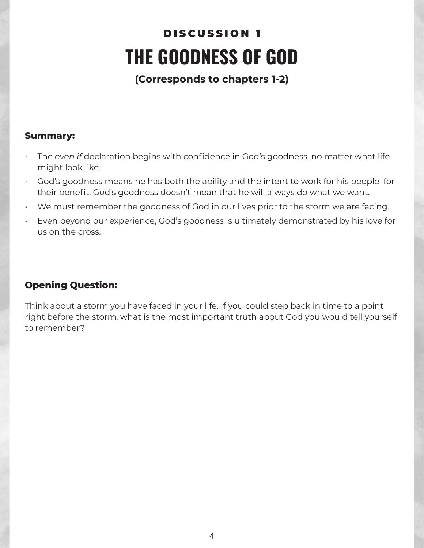# DISCUSSION 1 THE GOODNESS OF GOD

## **(Corresponds to chapters 1-2)**

#### **Summary:**

- The *even if* declaration begins with confidence in God's goodness, no matter what life might look like.
- God's goodness means he has both the ability and the intent to work for his people–for their benefit. God's goodness doesn't mean that he will always do what we want.
- We must remember the goodness of God in our lives prior to the storm we are facing.
- Even beyond our experience, God's goodness is ultimately demonstrated by his love for us on the cross.

## **Opening Question:**

Think about a storm you have faced in your life. If you could step back in time to a point right before the storm, what is the most important truth about God you would tell yourself to remember?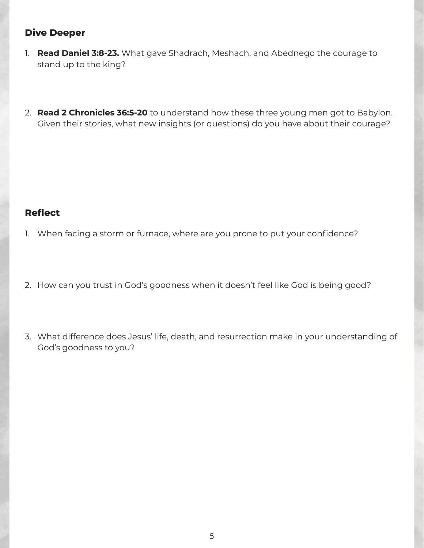- 1. **Read Daniel 3:8-23.** What gave Shadrach, Meshach, and Abednego the courage to stand up to the king?
- 2. **Read 2 Chronicles 36:5-20** to understand how these three young men got to Babylon. Given their stories, what new insights (or questions) do you have about their courage?

- 1. When facing a storm or furnace, where are you prone to put your confidence?
- 2. How can you trust in God's goodness when it doesn't feel like God is being good?
- 3. What difference does Jesus' life, death, and resurrection make in your understanding of God's goodness to you?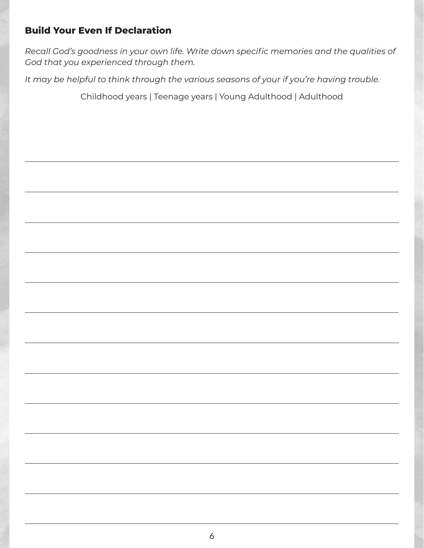*Recall God's goodness in your own life. Write down specific memories and the qualities of God that you experienced through them.* 

*It may be helpful to think through the various seasons of your if you're having trouble.*

Childhood years | Teenage years | Young Adulthood | Adulthood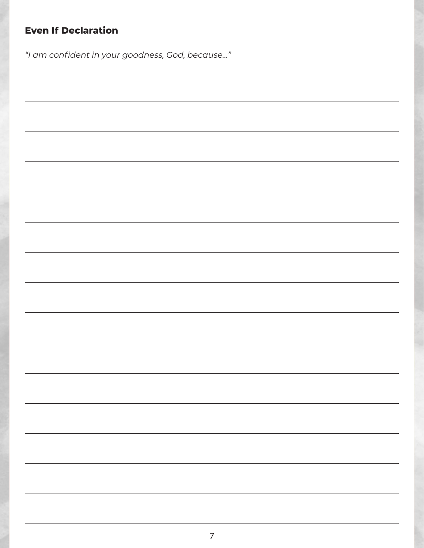*"I am confident in your goodness, God, because…"*

|                                                    |                                                                                                                      |  | <u> 1989 - Johann Stoff, fransk politik (f. 1989)</u>                                                                |
|----------------------------------------------------|----------------------------------------------------------------------------------------------------------------------|--|----------------------------------------------------------------------------------------------------------------------|
|                                                    |                                                                                                                      |  |                                                                                                                      |
|                                                    |                                                                                                                      |  |                                                                                                                      |
|                                                    |                                                                                                                      |  |                                                                                                                      |
|                                                    | <u> 1989 - Andrea Andrew Maria (h. 1989).</u>                                                                        |  |                                                                                                                      |
|                                                    |                                                                                                                      |  |                                                                                                                      |
|                                                    |                                                                                                                      |  |                                                                                                                      |
|                                                    |                                                                                                                      |  |                                                                                                                      |
|                                                    |                                                                                                                      |  |                                                                                                                      |
| <u> 1989 - Johann Barn, amerikansk politiker (</u> |                                                                                                                      |  |                                                                                                                      |
|                                                    |                                                                                                                      |  |                                                                                                                      |
|                                                    |                                                                                                                      |  |                                                                                                                      |
|                                                    |                                                                                                                      |  |                                                                                                                      |
|                                                    |                                                                                                                      |  |                                                                                                                      |
|                                                    |                                                                                                                      |  |                                                                                                                      |
|                                                    |                                                                                                                      |  |                                                                                                                      |
|                                                    |                                                                                                                      |  |                                                                                                                      |
|                                                    | <u> 1989 - Andrea Santa Andrea Andrea Andrea Andrea Andrea Andrea Andrea Andrea Andrea Andrea Andrea Andrea Andr</u> |  |                                                                                                                      |
|                                                    |                                                                                                                      |  |                                                                                                                      |
|                                                    |                                                                                                                      |  |                                                                                                                      |
|                                                    |                                                                                                                      |  |                                                                                                                      |
|                                                    |                                                                                                                      |  |                                                                                                                      |
|                                                    |                                                                                                                      |  |                                                                                                                      |
|                                                    |                                                                                                                      |  |                                                                                                                      |
|                                                    |                                                                                                                      |  |                                                                                                                      |
|                                                    |                                                                                                                      |  |                                                                                                                      |
|                                                    |                                                                                                                      |  |                                                                                                                      |
|                                                    |                                                                                                                      |  |                                                                                                                      |
|                                                    |                                                                                                                      |  |                                                                                                                      |
|                                                    |                                                                                                                      |  |                                                                                                                      |
|                                                    |                                                                                                                      |  |                                                                                                                      |
|                                                    |                                                                                                                      |  |                                                                                                                      |
|                                                    |                                                                                                                      |  |                                                                                                                      |
|                                                    |                                                                                                                      |  |                                                                                                                      |
|                                                    |                                                                                                                      |  | <u> 1989 - Johann Stoff, deutscher Stoffen und der Stoffen und der Stoffen und der Stoffen und der Stoffen und d</u> |
|                                                    |                                                                                                                      |  |                                                                                                                      |
|                                                    |                                                                                                                      |  |                                                                                                                      |
|                                                    |                                                                                                                      |  |                                                                                                                      |
|                                                    |                                                                                                                      |  |                                                                                                                      |
|                                                    |                                                                                                                      |  |                                                                                                                      |
|                                                    |                                                                                                                      |  |                                                                                                                      |
|                                                    |                                                                                                                      |  |                                                                                                                      |
|                                                    |                                                                                                                      |  |                                                                                                                      |
|                                                    |                                                                                                                      |  |                                                                                                                      |
|                                                    |                                                                                                                      |  |                                                                                                                      |
|                                                    |                                                                                                                      |  |                                                                                                                      |
|                                                    |                                                                                                                      |  |                                                                                                                      |
|                                                    |                                                                                                                      |  |                                                                                                                      |
|                                                    |                                                                                                                      |  |                                                                                                                      |
|                                                    |                                                                                                                      |  |                                                                                                                      |
|                                                    |                                                                                                                      |  |                                                                                                                      |
|                                                    |                                                                                                                      |  |                                                                                                                      |
|                                                    |                                                                                                                      |  |                                                                                                                      |
|                                                    |                                                                                                                      |  |                                                                                                                      |
|                                                    |                                                                                                                      |  |                                                                                                                      |
|                                                    |                                                                                                                      |  |                                                                                                                      |
|                                                    |                                                                                                                      |  |                                                                                                                      |
|                                                    |                                                                                                                      |  |                                                                                                                      |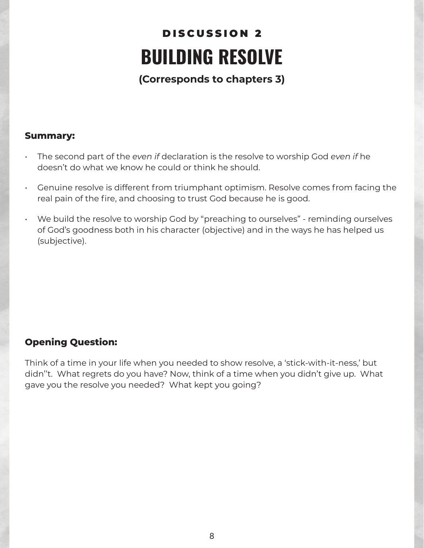## DISCUSSION 2 BUILDING RESOLVE

## **(Corresponds to chapters 3)**

#### **Summary:**

- The second part of the *even if* declaration is the resolve to worship God *even if* he doesn't do what we know he could or think he should.
- Genuine resolve is different from triumphant optimism. Resolve comes from facing the real pain of the fire, and choosing to trust God because he is good.
- We build the resolve to worship God by "preaching to ourselves" reminding ourselves of God's goodness both in his character (objective) and in the ways he has helped us (subjective).

## **Opening Question:**

Think of a time in your life when you needed to show resolve, a 'stick-with-it-ness,' but didn''t. What regrets do you have? Now, think of a time when you didn't give up. What gave you the resolve you needed? What kept you going?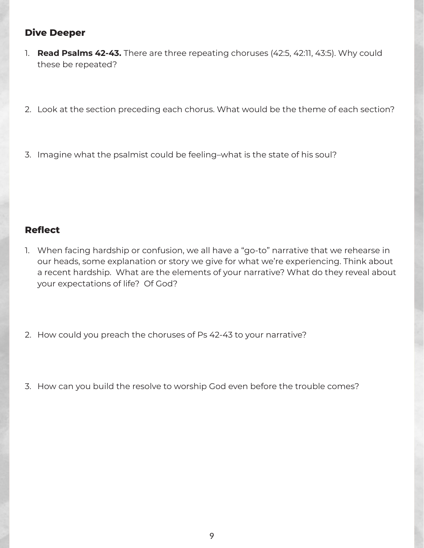- 1. **Read Psalms 42-43.** There are three repeating choruses (42:5, 42:11, 43:5). Why could these be repeated?
- 2. Look at the section preceding each chorus. What would be the theme of each section?
- 3. Imagine what the psalmist could be feeling–what is the state of his soul?

- 1. When facing hardship or confusion, we all have a "go-to" narrative that we rehearse in our heads, some explanation or story we give for what we're experiencing. Think about a recent hardship. What are the elements of your narrative? What do they reveal about your expectations of life? Of God?
- 2. How could you preach the choruses of Ps 42-43 to your narrative?
- 3. How can you build the resolve to worship God even before the trouble comes?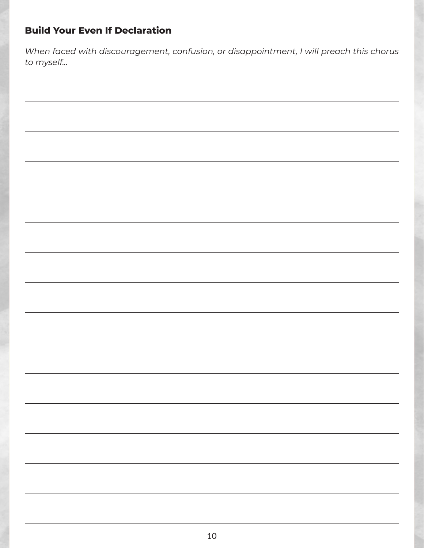*When faced with discouragement, confusion, or disappointment, I will preach this chorus to myself...*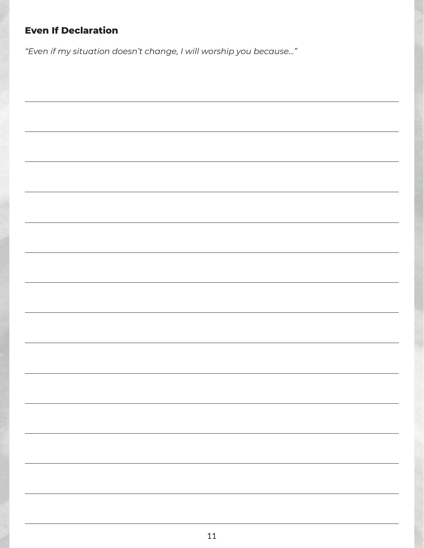*"Even if my situation doesn't change, I will worship you because…"*

| <u> 1989 - Johann Stoff, amerikansk politiker (d. 1989)</u> |  |                                            |
|-------------------------------------------------------------|--|--------------------------------------------|
| <u> 1989 - Johann Stoff, amerikansk politiker (* 1908)</u>  |  |                                            |
|                                                             |  |                                            |
|                                                             |  |                                            |
| <u> 1989 - Johann Stoff, amerikansk politiker (d. 1989)</u> |  | <u> 1980 - Johann Barn, mars ann an t-</u> |
|                                                             |  |                                            |
|                                                             |  |                                            |
|                                                             |  |                                            |
|                                                             |  |                                            |
|                                                             |  |                                            |
|                                                             |  |                                            |
|                                                             |  |                                            |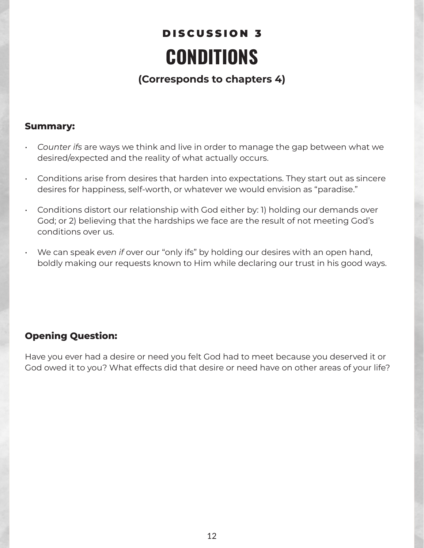## DISCUSSION 3 **CONDITIONS**

## **(Corresponds to chapters 4)**

#### **Summary:**

- *• Counter ifs* are ways we think and live in order to manage the gap between what we desired/expected and the reality of what actually occurs.
- $\cdot$  Conditions arise from desires that harden into expectations. They start out as sincere desires for happiness, self-worth, or whatever we would envision as "paradise."
- Conditions distort our relationship with God either by: 1) holding our demands over God; or 2) believing that the hardships we face are the result of not meeting God's conditions over us.
- We can speak *even if* over our "only ifs" by holding our desires with an open hand, boldly making our requests known to Him while declaring our trust in his good ways.

## **Opening Question:**

Have you ever had a desire or need you felt God had to meet because you deserved it or God owed it to you? What effects did that desire or need have on other areas of your life?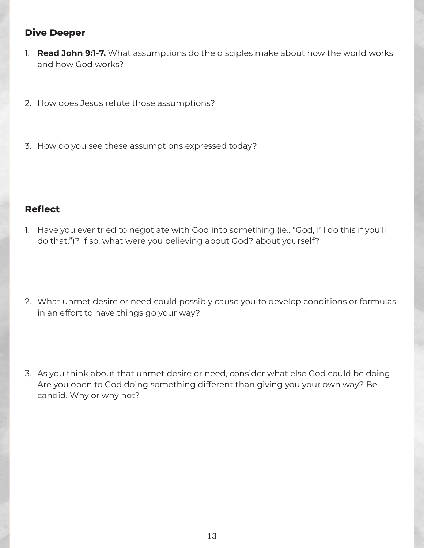- 1. **Read John 9:1-7.** What assumptions do the disciples make about how the world works and how God works?
- 2. How does Jesus refute those assumptions?
- 3. How do you see these assumptions expressed today?

- 1. Have you ever tried to negotiate with God into something (ie., "God, I'll do this if you'll do that.")? If so, what were you believing about God? about yourself?
- 2. What unmet desire or need could possibly cause you to develop conditions or formulas in an effort to have things go your way?
- 3. As you think about that unmet desire or need, consider what else God could be doing. Are you open to God doing something different than giving you your own way? Be candid. Why or why not?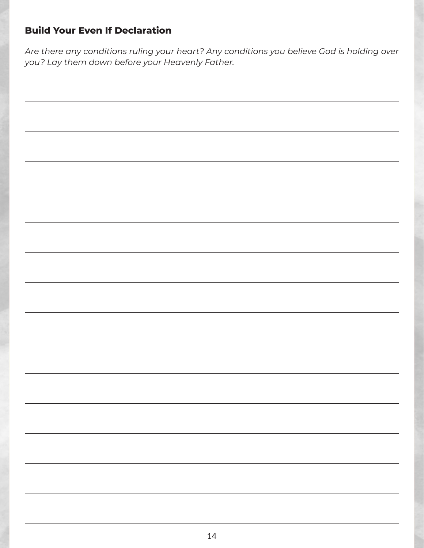*Are there any conditions ruling your heart? Any conditions you believe God is holding over you? Lay them down before your Heavenly Father.* 

| 14 |  |
|----|--|
|    |  |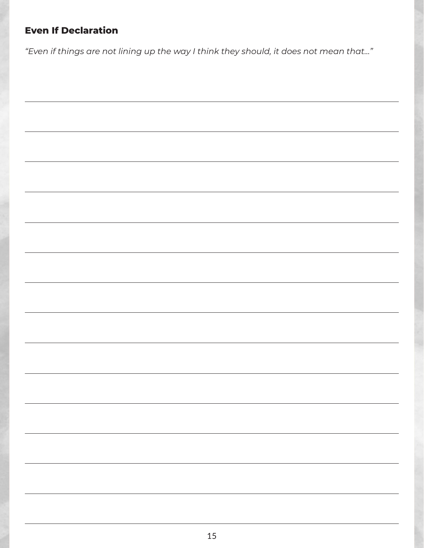*"Even if things are not lining up the way I think they should, it does not mean that…"*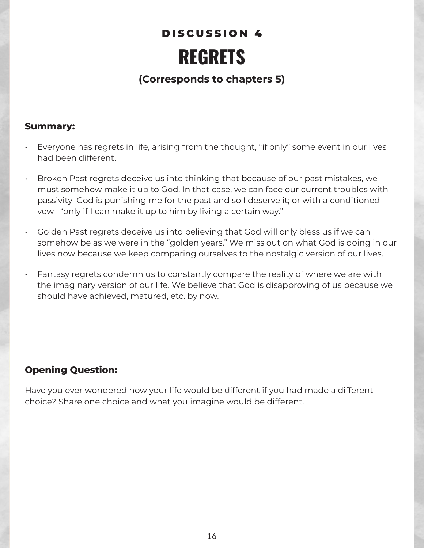## DISCUSSION 4 **REGRETS**

## **(Corresponds to chapters 5)**

#### **Summary:**

- Everyone has regrets in life, arising from the thought, "if only" some event in our lives had been different.
- Broken Past regrets deceive us into thinking that because of our past mistakes, we must somehow make it up to God. In that case, we can face our current troubles with passivity–God is punishing me for the past and so I deserve it; or with a conditioned vow– "only if I can make it up to him by living a certain way."
- Golden Past regrets deceive us into believing that God will only bless us if we can somehow be as we were in the "golden years." We miss out on what God is doing in our lives now because we keep comparing ourselves to the nostalgic version of our lives.
- Fantasy regrets condemn us to constantly compare the reality of where we are with the imaginary version of our life. We believe that God is disapproving of us because we should have achieved, matured, etc. by now.

#### **Opening Question:**

Have you ever wondered how your life would be different if you had made a different choice? Share one choice and what you imagine would be different.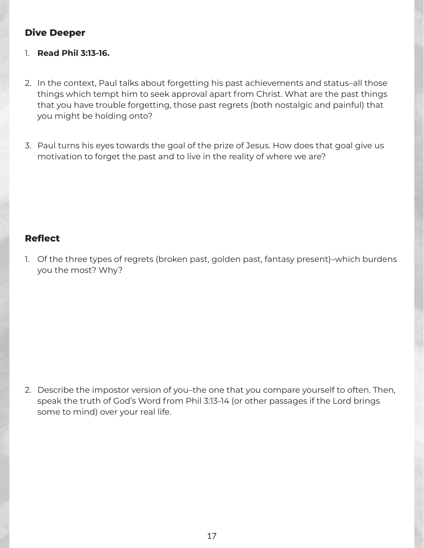- 1. **Read Phil 3:13-16.**
- 2. In the context, Paul talks about forgetting his past achievements and status–all those things which tempt him to seek approval apart from Christ. What are the past things that you have trouble forgetting, those past regrets (both nostalgic and painful) that you might be holding onto?
- 3. Paul turns his eyes towards the goal of the prize of Jesus. How does that goal give us motivation to forget the past and to live in the reality of where we are?

#### **Reflect**

1. Of the three types of regrets (broken past, golden past, fantasy present)–which burdens you the most? Why?

2. Describe the impostor version of you–the one that you compare yourself to often. Then, speak the truth of God's Word from Phil 3:13-14 (or other passages if the Lord brings some to mind) over your real life.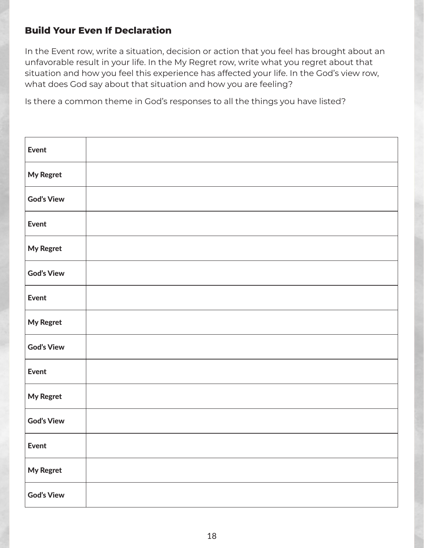In the Event row, write a situation, decision or action that you feel has brought about an unfavorable result in your life. In the My Regret row, write what you regret about that situation and how you feel this experience has affected your life. In the God's view row, what does God say about that situation and how you are feeling?

Is there a common theme in God's responses to all the things you have listed?

| <b>Event</b>      |  |
|-------------------|--|
| <b>My Regret</b>  |  |
| <b>God's View</b> |  |
| <b>Event</b>      |  |
| <b>My Regret</b>  |  |
| <b>God's View</b> |  |
| Event             |  |
| <b>My Regret</b>  |  |
| <b>God's View</b> |  |
| <b>Event</b>      |  |
| My Regret         |  |
| <b>God's View</b> |  |
| <b>Event</b>      |  |
| My Regret         |  |
| <b>God's View</b> |  |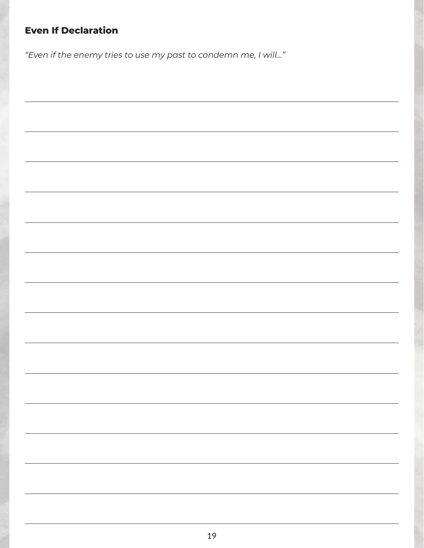*"Even if the enemy tries to use my past to condemn me, I will…"*

| 19 |  |
|----|--|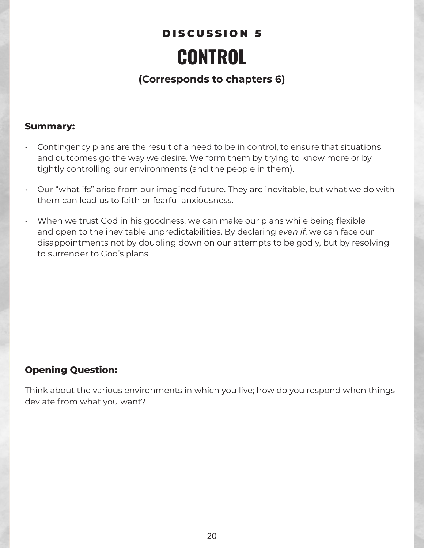## DISCUSSION 5 **CONTROL**

## **(Corresponds to chapters 6)**

#### **Summary:**

- Contingency plans are the result of a need to be in control, to ensure that situations and outcomes go the way we desire. We form them by trying to know more or by tightly controlling our environments (and the people in them).
- Our "what ifs" arise from our imagined future. They are inevitable, but what we do with them can lead us to faith or fearful anxiousness.
- When we trust God in his goodness, we can make our plans while being flexible and open to the inevitable unpredictabilities. By declaring *even if*, we can face our disappointments not by doubling down on our attempts to be godly, but by resolving to surrender to God's plans.

#### **Opening Question:**

Think about the various environments in which you live; how do you respond when things deviate from what you want?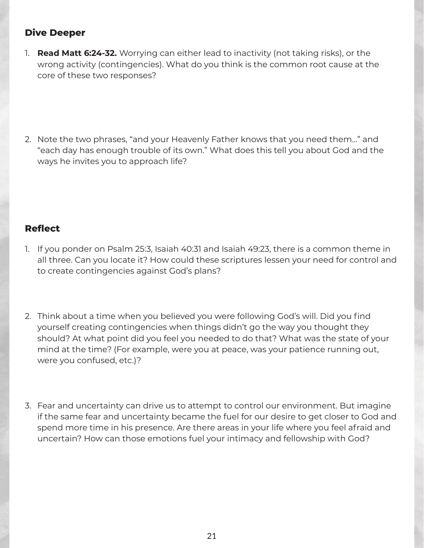- 1. **Read Matt 6:24-32.** Worrying can either lead to inactivity (not taking risks), or the wrong activity (contingencies). What do you think is the common root cause at the core of these two responses?
- 2. Note the two phrases, "and your Heavenly Father knows that you need them…" and "each day has enough trouble of its own." What does this tell you about God and the ways he invites you to approach life?

- 1. If you ponder on Psalm 25:3, Isaiah 40:31 and Isaiah 49:23, there is a common theme in all three. Can you locate it? How could these scriptures lessen your need for control and to create contingencies against God's plans?
- 2. Think about a time when you believed you were following God's will. Did you find yourself creating contingencies when things didn't go the way you thought they should? At what point did you feel you needed to do that? What was the state of your mind at the time? (For example, were you at peace, was your patience running out, were you confused, etc.)?
- 3. Fear and uncertainty can drive us to attempt to control our environment. But imagine if the same fear and uncertainty became the fuel for our desire to get closer to God and spend more time in his presence. Are there areas in your life where you feel afraid and uncertain? How can those emotions fuel your intimacy and fellowship with God?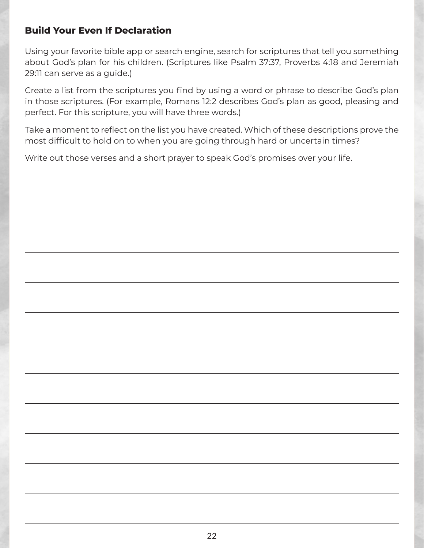Using your favorite bible app or search engine, search for scriptures that tell you something about God's plan for his children. (Scriptures like Psalm 37:37, Proverbs 4:18 and Jeremiah 29:11 can serve as a guide.)

Create a list from the scriptures you find by using a word or phrase to describe God's plan in those scriptures. (For example, Romans 12:2 describes God's plan as good, pleasing and perfect. For this scripture, you will have three words.)

Take a moment to reflect on the list you have created. Which of these descriptions prove the most difficult to hold on to when you are going through hard or uncertain times?

Write out those verses and a short prayer to speak God's promises over your life.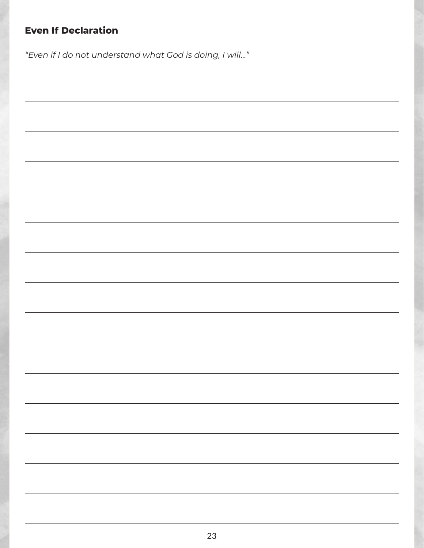*"Even if I do not understand what God is doing, I will..."*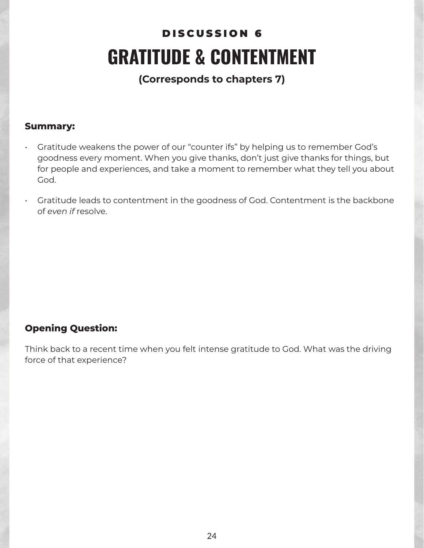## DISCUSSION 6 GRATITUDE & CONTENTMENT

## **(Corresponds to chapters 7)**

#### **Summary:**

- Gratitude weakens the power of our "counter ifs" by helping us to remember God's goodness every moment. When you give thanks, don't just give thanks for things, but for people and experiences, and take a moment to remember what they tell you about God.
- Gratitude leads to contentment in the goodness of God. Contentment is the backbone of *even if* resolve.

## **Opening Question:**

Think back to a recent time when you felt intense gratitude to God. What was the driving force of that experience?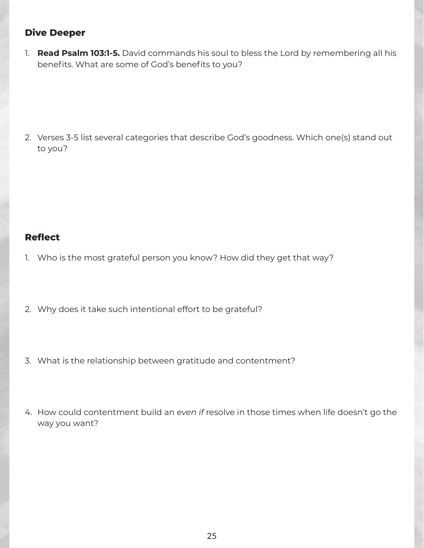1. **Read Psalm 103:1-5.** David commands his soul to bless the Lord by remembering all his benefits. What are some of God's benefits to you?

2. Verses 3-5 list several categories that describe God's goodness. Which one(s) stand out to you?

- 1. Who is the most grateful person you know? How did they get that way?
- 2. Why does it take such intentional effort to be grateful?
- 3. What is the relationship between gratitude and contentment?
- 4. How could contentment build an *even if* resolve in those times when life doesn't go the way you want?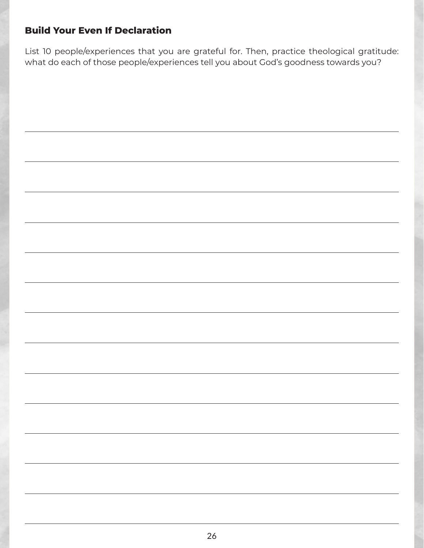List 10 people/experiences that you are grateful for. Then, practice theological gratitude: what do each of those people/experiences tell you about God's goodness towards you?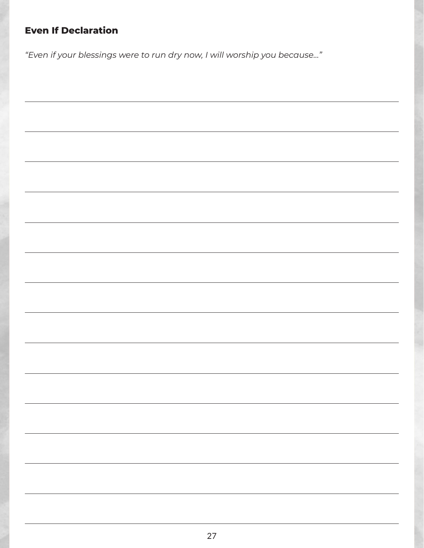*"Even if your blessings were to run dry now, I will worship you because…"*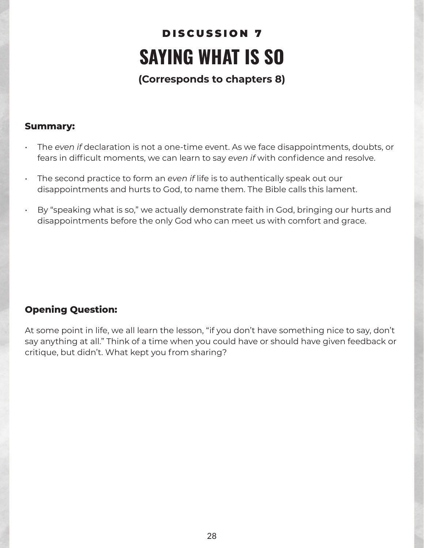## DISCUSSION 7 SAYING WHAT IS SO

## **(Corresponds to chapters 8)**

#### **Summary:**

- The *even if* declaration is not a one-time event. As we face disappointments, doubts, or fears in difficult moments, we can learn to say *even if* with confidence and resolve.
- The second practice to form an *even if* life is to authentically speak out our disappointments and hurts to God, to name them. The Bible calls this lament.
- By "speaking what is so," we actually demonstrate faith in God, bringing our hurts and disappointments before the only God who can meet us with comfort and grace.

## **Opening Question:**

At some point in life, we all learn the lesson, "if you don't have something nice to say, don't say anything at all." Think of a time when you could have or should have given feedback or critique, but didn't. What kept you from sharing?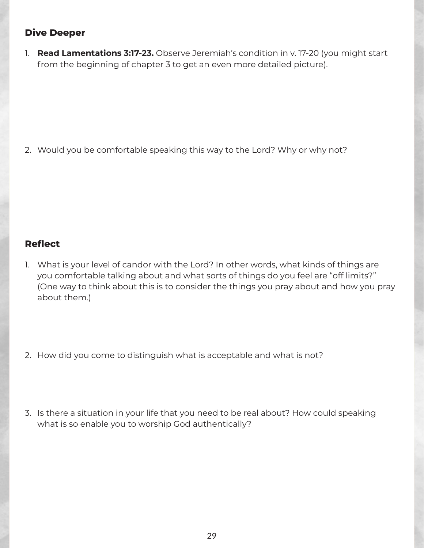1. **Read Lamentations 3:17-23.** Observe Jeremiah's condition in v. 17-20 (you might start from the beginning of chapter 3 to get an even more detailed picture).

2. Would you be comfortable speaking this way to the Lord? Why or why not?

- 1. What is your level of candor with the Lord? In other words, what kinds of things are you comfortable talking about and what sorts of things do you feel are "off limits?" (One way to think about this is to consider the things you pray about and how you pray about them.)
- 2. How did you come to distinguish what is acceptable and what is not?
- 3. Is there a situation in your life that you need to be real about? How could speaking what is so enable you to worship God authentically?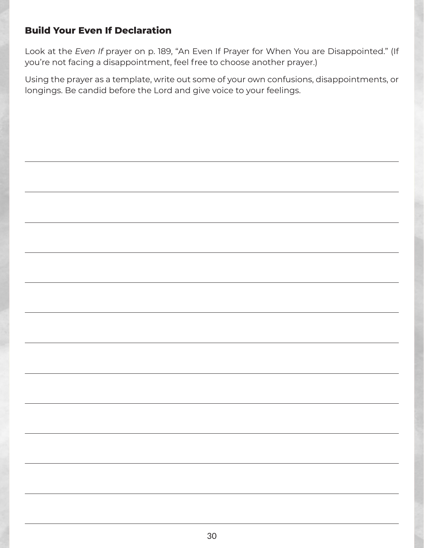Look at the *Even If* prayer on p. 189, "An Even If Prayer for When You are Disappointed." (If you're not facing a disappointment, feel free to choose another prayer.)

Using the prayer as a template, write out some of your own confusions, disappointments, or longings. Be candid before the Lord and give voice to your feelings.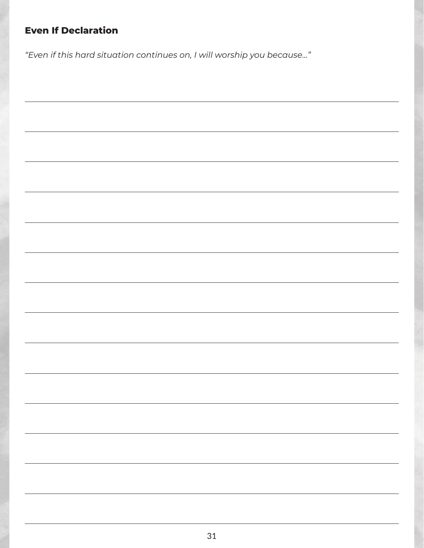*"Even if this hard situation continues on, I will worship you because…"*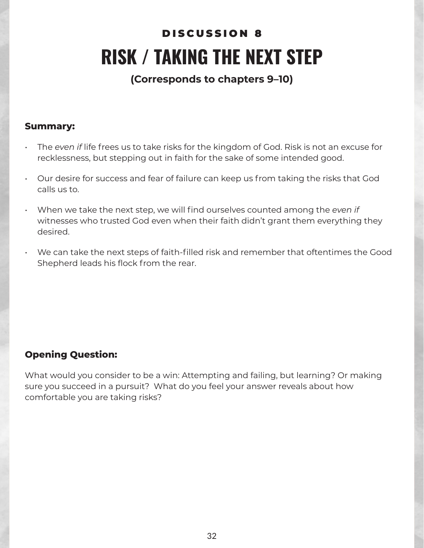# DISCUSSION 8 RISK / TAKING THE NEXT STEP

## **(Corresponds to chapters 9–10)**

#### **Summary:**

- The *even if* life frees us to take risks for the kingdom of God. Risk is not an excuse for recklessness, but stepping out in faith for the sake of some intended good.
- Our desire for success and fear of failure can keep us from taking the risks that God calls us to.
- When we take the next step, we will find ourselves counted among the *even if* witnesses who trusted God even when their faith didn't grant them everything they desired.
- We can take the next steps of faith-filled risk and remember that oftentimes the Good Shepherd leads his flock from the rear.

## **Opening Question:**

What would you consider to be a win: Attempting and failing, but learning? Or making sure you succeed in a pursuit? What do you feel your answer reveals about how comfortable you are taking risks?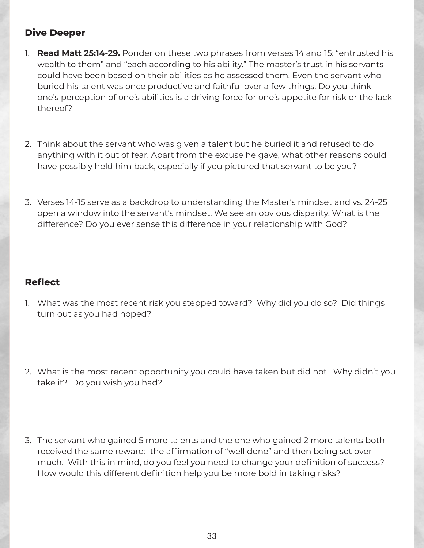- 1. **Read Matt 25:14-29.** Ponder on these two phrases from verses 14 and 15: "entrusted his wealth to them" and "each according to his ability." The master's trust in his servants could have been based on their abilities as he assessed them. Even the servant who buried his talent was once productive and faithful over a few things. Do you think one's perception of one's abilities is a driving force for one's appetite for risk or the lack thereof?
- 2. Think about the servant who was given a talent but he buried it and refused to do anything with it out of fear. Apart from the excuse he gave, what other reasons could have possibly held him back, especially if you pictured that servant to be you?
- 3. Verses 14-15 serve as a backdrop to understanding the Master's mindset and vs. 24-25 open a window into the servant's mindset. We see an obvious disparity. What is the difference? Do you ever sense this difference in your relationship with God?

- 1. What was the most recent risk you stepped toward? Why did you do so? Did things turn out as you had hoped?
- 2. What is the most recent opportunity you could have taken but did not. Why didn't you take it? Do you wish you had?
- 3. The servant who gained 5 more talents and the one who gained 2 more talents both received the same reward: the affirmation of "well done" and then being set over much. With this in mind, do you feel you need to change your definition of success? How would this different definition help you be more bold in taking risks?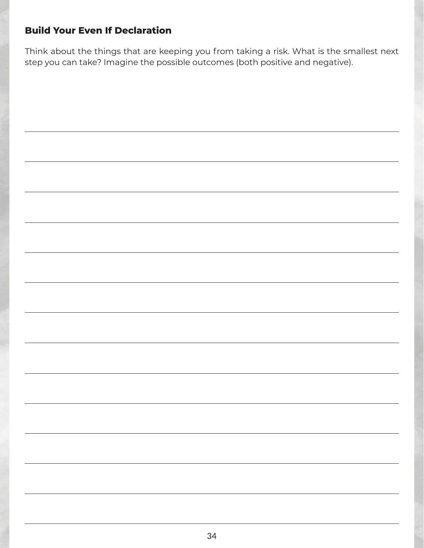Think about the things that are keeping you from taking a risk. What is the smallest next step you can take? Imagine the possible outcomes (both positive and negative).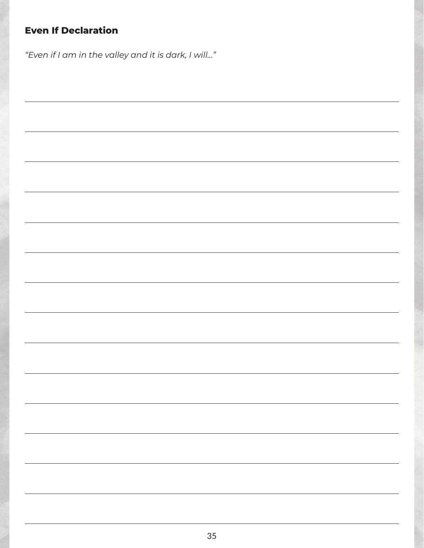*"Even if I am in the valley and it is dark, I will…"*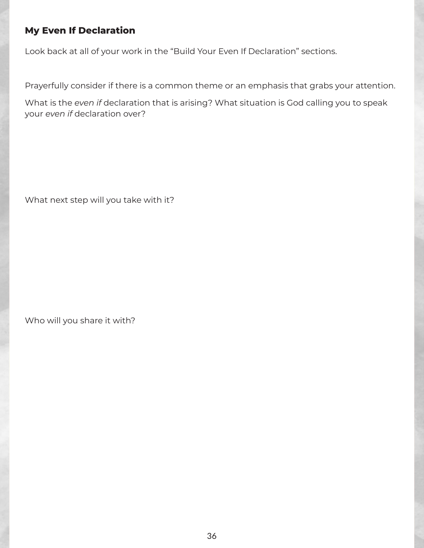Look back at all of your work in the "Build Your Even If Declaration" sections.

Prayerfully consider if there is a common theme or an emphasis that grabs your attention.

What is the *even if* declaration that is arising? What situation is God calling you to speak your *even if* declaration over?

What next step will you take with it?

Who will you share it with?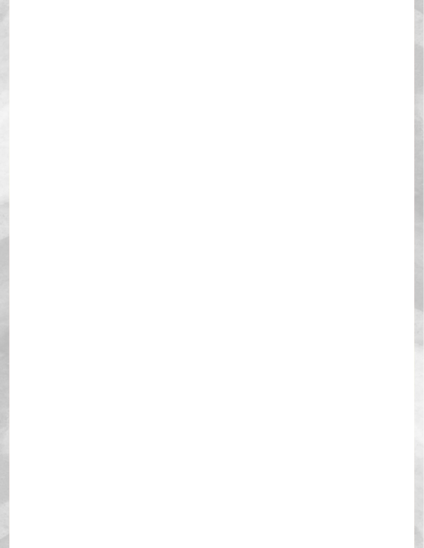